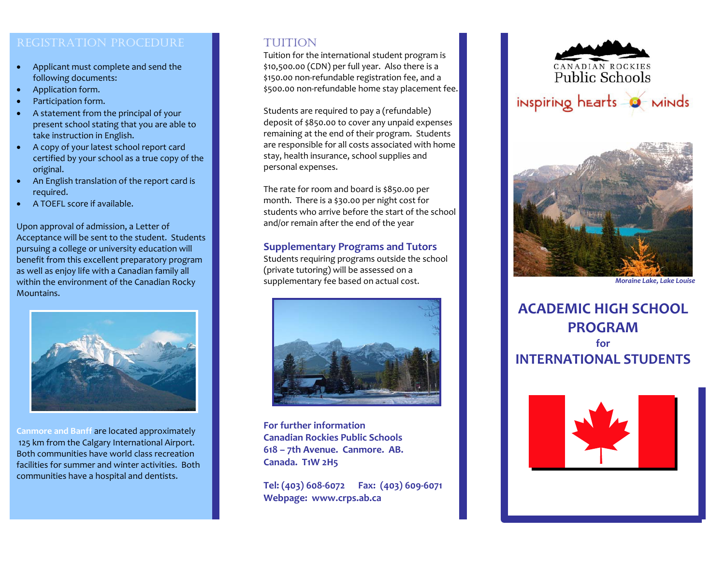- Applicant must complete and send the following documents:
- G Application form.
- G Participation form.
- G A statement from the principal of your presen<sup>t</sup> school stating that you are able to take instruction in English.
- A copy of your latest school repor<sup>t</sup> card certified by your school as <sup>a</sup> true copy of the original.
- G An English translation of the repor<sup>t</sup> card is required.
- G A TOEFL score if available.

Upon approval of admission, <sup>a</sup> Letter of Acceptance will be sent to the student. Students pursuing <sup>a</sup> college or university education will benefit from this excellent preparatory program as well as enjoy life with <sup>a</sup> Canadian family all within the environment of the Canadian Rocky Mountains.



**Canmore and Banff** are located approximately 125 km from the Calgary International Airport. Both communities have world class recreation facilities for summer and winter activities. Both communities have <sup>a</sup> hospital and dentists.

# TUITION

Tuition for the international student program is \$10,500.00 (CDN) per full year. Also there is <sup>a</sup> \$150.00 non‐refundable registration fee, and <sup>a</sup> \$500.00 non‐refundable home stay placement fee.

Students are required to pay <sup>a</sup> (refundable) deposit of \$850.00 to cover any unpaid expenses remaining at the end of their program. Students are responsible for all costs associated with home stay, health insurance, school supplies and personal expenses.

The rate for room and board is \$850.00 per month. There is <sup>a</sup> \$30.00 per night cost for students who arrive before the start of the school and/or remain after the end of the year

### **Supplementary Programs and Tutors**

Students requiring programs outside the school (private tutoring) will be assessed on <sup>a</sup> supplementary fee based on actual cost.



**For further informationCanadian Rockies Public Schools 618 – 7th Avenue. Canmore. AB. Canada. T1W 2H5**

**Tel: (403) 608‐6072 Fax: (403) 609‐6071 Webpage: www.crps.ab.ca**





*Moraine Lake, Lake Louise*

**ACADEMIC HIGH SCHOOL PROGRAMforINTERNATIONAL STUDENTS**